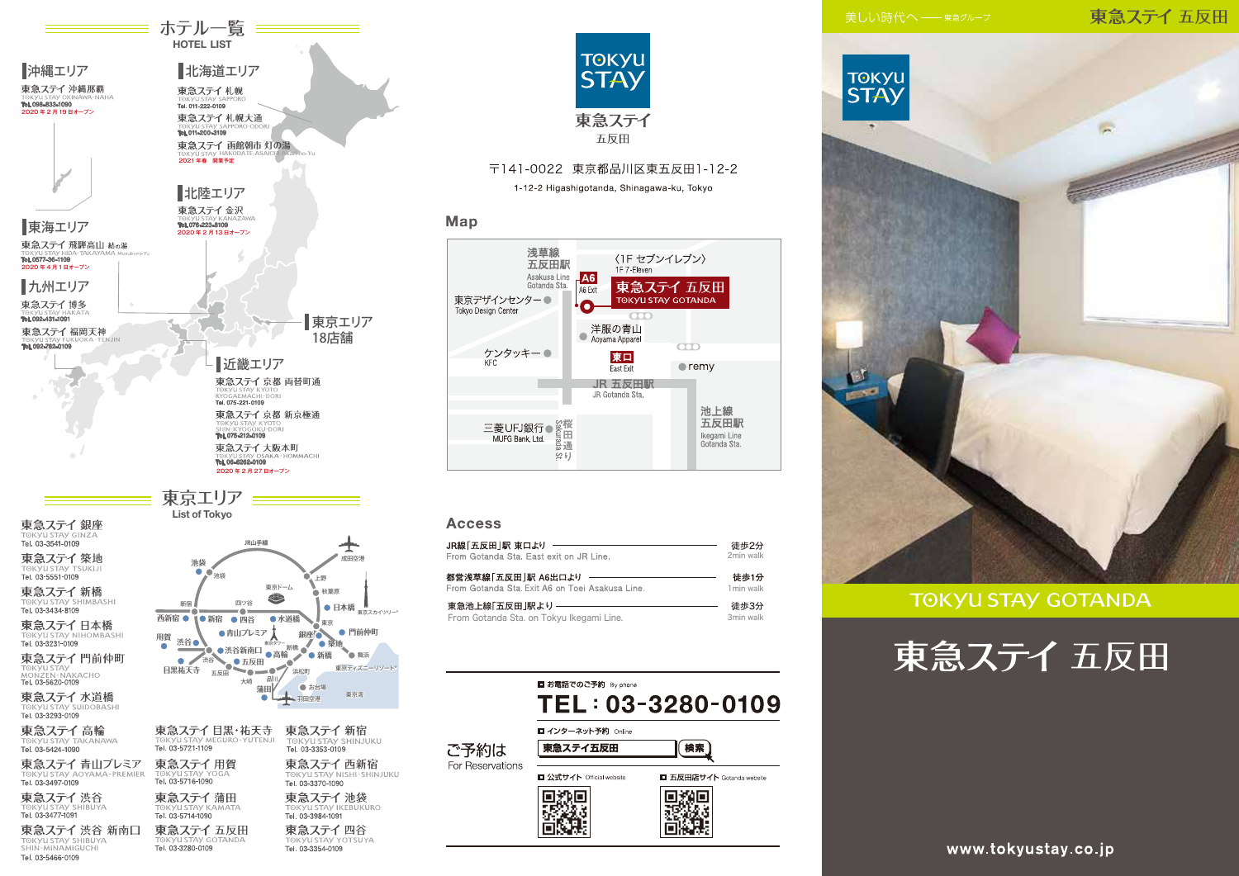# 東急ステイ五反田









ホテル一覧 == **HOTEL LIST** 

東急ステイ蒲田 Tel. 03-5714-1090 東急ステイ五反田

Tel. 03-3280-0109

東急ステイ渋谷

TOKYU STAY SHIBUYA

a ד⇒ 1,000 cm<br>1091–3477 Tel. 03

Tel. 03-5466-0109

**SHIRIIVA** 

東急ステイ 渋谷 新南口

TOKYU STAY NISHI-SHINJUKU Tel. 03-3370-1090 東急ステイ池袋 **OKVITSTAV IKERHKURO** Tel. 03-3984-1091 東急ステイ四谷 Tel. 03-3354-0109



# 〒141-0022 東京都品川区東五反田1-12-2

1-12-2 Higashigotanda, Shinagawa-ku, Tokyo

# Map



### **Access**

| JR線「五反田」駅 東ロより                                  | 徒歩2分       |
|-------------------------------------------------|------------|
| From Gotanda Sta. East exit on JR Line.         | 2min walk  |
| 都営浅草線「五反田」駅 A6出ロより                              | 徒歩1分       |
| From Gotanda Sta. Exit A6 on Toei Asakusa Line. | 1 min walk |
| 東急池上線「五反田  駅より -                                | 徒歩3分       |
| From Gotanda Sta. on Tokyu Ikegami Line.        | 3min walk  |

|                  | ■ お電話でのご予約 By phone      |                           |
|------------------|--------------------------|---------------------------|
|                  |                          | TEL: 03-3280-0109         |
|                  | ■ インターネット予約 Online       |                           |
| ご予約は             | 東急ステイ五反田                 | 検索                        |
| For Reservations | ■ 公式サイト Official website | ■ 五反田店サイト Gotanda website |
|                  |                          |                           |